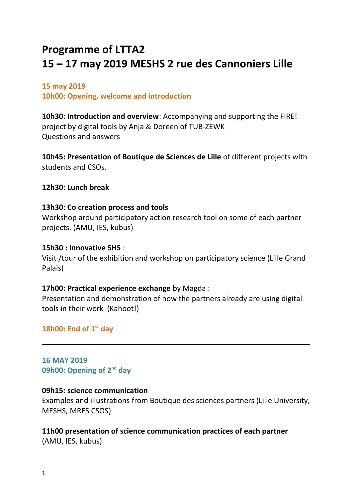# **Programme of LTTA2 15 – 17 may 2019 MESHS 2 rue des Cannoniers Lille**

#### **15 may 2019**

**10h00: Opening, welcome and introduction**

**10h30: Introduction and overview**: Accompanying and supporting the FIRE! project by digital tools by Anja & Doreen of TUB-ZEWK Questions and answers

**10h45: Presentation of Boutique de Sciences de Lille** of different projects with students and CSOs.

**12h30: Lunch break**

#### **13h30**: **Co creation process and tools**

Workshop around participatory action research tool on some of each partner projects. (AMU, IES, kubus)

#### **15h30 : Innovative SHS** :

Visit /tour of the exhibition and workshop on participatory science (Lille Grand Palais)

## **17h00: Practical experience exchange** by Magda :

Presentation and demonstration of how the partners already are using digital tools in their work (Kahoot!)

**18h00: End of 1st day**

**16 MAY 2019 09h00: Opening of 2nd day** 

## **09h15: science communication**

Examples and illustrations from Boutique des sciences partners (Lille University, MESHS, MRES CSOS)

## **11h00 presentation of science communication practices of each partner**

(AMU, IES, kubus)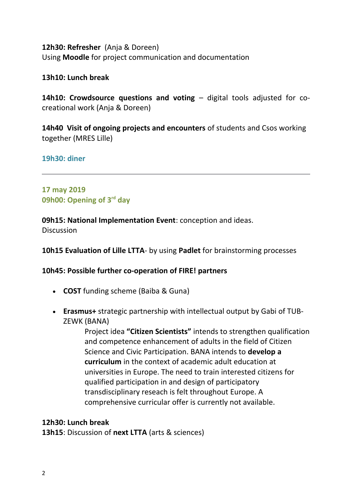**12h30: Refresher** (Anja & Doreen) Using **Moodle** for project communication and documentation

**13h10: Lunch break**

**14h10: Crowdsource questions and voting – digital tools adjusted for co**creational work (Anja & Doreen)

**14h40 Visit of ongoing projects and encounters** of students and Csos working together (MRES Lille)

**19h30: diner**

# **17 may 2019 09h00: Opening of 3rd day**

**09h15: National Implementation Event**: conception and ideas. **Discussion** 

**10h15 Evaluation of Lille LTTA**- by using **Padlet** for brainstorming processes

## **10h45: Possible further co-operation of FIRE! partners**

- **COST** funding scheme (Baiba & Guna)
- **Erasmus+** strategic partnership with intellectual output by Gabi of TUB-ZEWK (BANA)

Project idea **"Citizen Scientists"** intends to strengthen qualification and competence enhancement of adults in the field of Citizen Science and Civic Participation. BANA intends to **develop a curriculum** in the context of academic adult education at universities in Europe. The need to train interested citizens for qualified participation in and design of participatory transdisciplinary reseach is felt throughout Europe. A comprehensive curricular offer is currently not available.

## **12h30: Lunch break**

**13h15**: Discussion of **next LTTA** (arts & sciences)